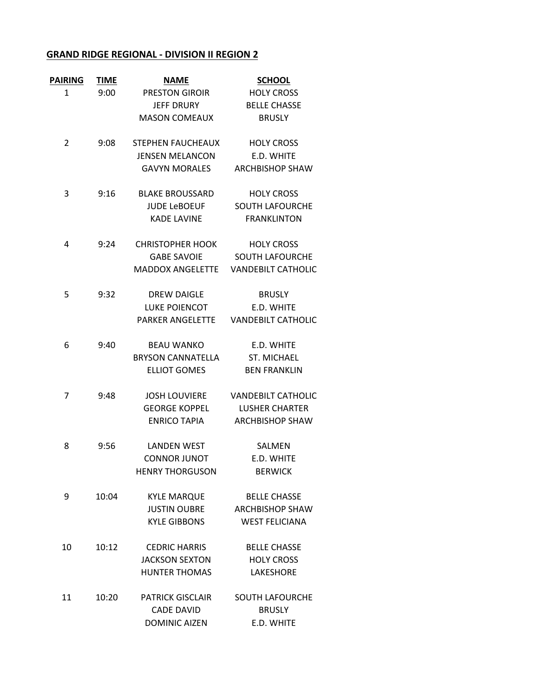## **GRAND RIDGE REGIONAL ‐ DIVISION II REGION 2**

| <b>PAIRING</b> | <b>TIME</b> | <b>NAME</b>              | <b>SCHOOL</b>                       |
|----------------|-------------|--------------------------|-------------------------------------|
| $\mathbf{1}$   | 9:00        | PRESTON GIROIR           | <b>HOLY CROSS</b>                   |
|                |             | <b>JEFF DRURY</b>        | <b>BELLE CHASSE</b>                 |
|                |             | <b>MASON COMEAUX</b>     | <b>BRUSLY</b>                       |
| 2              | 9:08        | STEPHEN FAUCHEAUX        | <b>HOLY CROSS</b>                   |
|                |             | <b>JENSEN MELANCON</b>   | E.D. WHITE                          |
|                |             | <b>GAVYN MORALES</b>     | <b>ARCHBISHOP SHAW</b>              |
| 3              | 9:16        | <b>BLAKE BROUSSARD</b>   | <b>HOLY CROSS</b>                   |
|                |             | <b>JUDE LeBOEUF</b>      | <b>SOUTH LAFOURCHE</b>              |
|                |             | <b>KADE LAVINE</b>       | <b>FRANKLINTON</b>                  |
| 4              | 9:24        | CHRISTOPHER HOOK         | <b>HOLY CROSS</b>                   |
|                |             | <b>GABE SAVOIE</b>       | <b>SOUTH LAFOURCHE</b>              |
|                |             |                          | MADDOX ANGELETTE VANDEBILT CATHOLIC |
| 5              | 9:32        | <b>DREW DAIGLE</b>       | <b>BRUSLY</b>                       |
|                |             | LUKE POIENCOT            | E.D. WHITE                          |
|                |             | <b>PARKER ANGELETTE</b>  | <b>VANDEBILT CATHOLIC</b>           |
| 6              | 9:40        | <b>BEAU WANKO</b>        | E.D. WHITE                          |
|                |             | <b>BRYSON CANNATELLA</b> | <b>ST. MICHAEL</b>                  |
|                |             | <b>ELLIOT GOMES</b>      | <b>BEN FRANKLIN</b>                 |
| 7              | 9:48        | <b>JOSH LOUVIERE</b>     | <b>VANDEBILT CATHOLIC</b>           |
|                |             | <b>GEORGE KOPPEL</b>     | LUSHER CHARTER                      |
|                |             | <b>ENRICO TAPIA</b>      | <b>ARCHBISHOP SHAW</b>              |
| 8              | 9:56        | <b>LANDEN WEST</b>       | SALMEN                              |
|                |             | <b>CONNOR JUNOT</b>      | E.D. WHITE                          |
|                |             | <b>HENRY THORGUSON</b>   | <b>BERWICK</b>                      |
| 9              | 10:04       | <b>KYLE MARQUE</b>       | <b>BELLE CHASSE</b>                 |
|                |             | <b>JUSTIN OUBRE</b>      | <b>ARCHBISHOP SHAW</b>              |
|                |             | <b>KYLE GIBBONS</b>      | <b>WEST FELICIANA</b>               |
| 10             | 10:12       | <b>CEDRIC HARRIS</b>     | <b>BELLE CHASSE</b>                 |
|                |             | <b>JACKSON SEXTON</b>    | <b>HOLY CROSS</b>                   |
|                |             | <b>HUNTER THOMAS</b>     | LAKESHORE                           |
| 11             | 10:20       | <b>PATRICK GISCLAIR</b>  | <b>SOUTH LAFOURCHE</b>              |
|                |             | <b>CADE DAVID</b>        | <b>BRUSLY</b>                       |
|                |             | <b>DOMINIC AIZEN</b>     | E.D. WHITE                          |